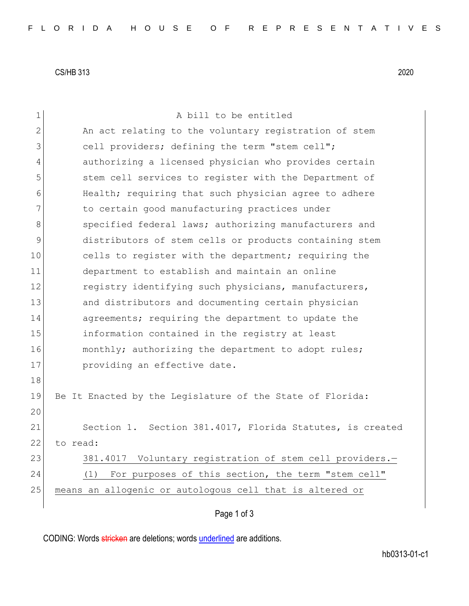CS/HB 313 2020

| 1              | A bill to be entitled                                     |
|----------------|-----------------------------------------------------------|
| $\overline{2}$ | An act relating to the voluntary registration of stem     |
| 3              | cell providers; defining the term "stem cell";            |
| 4              | authorizing a licensed physician who provides certain     |
| 5              | stem cell services to register with the Department of     |
| 6              | Health; requiring that such physician agree to adhere     |
| 7              | to certain good manufacturing practices under             |
| 8              | specified federal laws; authorizing manufacturers and     |
| $\mathsf 9$    | distributors of stem cells or products containing stem    |
| 10             | cells to register with the department; requiring the      |
| 11             | department to establish and maintain an online            |
| 12             | registry identifying such physicians, manufacturers,      |
| 13             | and distributors and documenting certain physician        |
| 14             | agreements; requiring the department to update the        |
| 15             | information contained in the registry at least            |
| 16             | monthly; authorizing the department to adopt rules;       |
| 17             | providing an effective date.                              |
| 18             |                                                           |
| 19             | Be It Enacted by the Legislature of the State of Florida: |
| 20             |                                                           |
| 21             | Section 1. Section 381.4017, Florida Statutes, is created |
| 22             | to read:                                                  |
| 23             | 381.4017 Voluntary registration of stem cell providers.-  |
| 24             | For purposes of this section, the term "stem cell"<br>(1) |
| 25             | means an allogenic or autologous cell that is altered or  |
|                |                                                           |

## Page 1 of 3

CODING: Words stricken are deletions; words underlined are additions.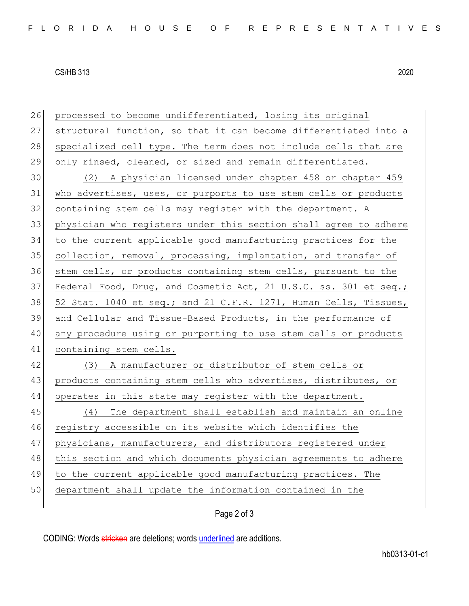## CS/HB 313 2020

| 26 | processed to become undifferentiated, losing its original        |
|----|------------------------------------------------------------------|
| 27 | structural function, so that it can become differentiated into a |
| 28 | specialized cell type. The term does not include cells that are  |
| 29 | only rinsed, cleaned, or sized and remain differentiated.        |
| 30 | (2) A physician licensed under chapter 458 or chapter 459        |
| 31 | who advertises, uses, or purports to use stem cells or products  |
| 32 | containing stem cells may register with the department. A        |
| 33 | physician who registers under this section shall agree to adhere |
| 34 | to the current applicable good manufacturing practices for the   |
| 35 | collection, removal, processing, implantation, and transfer of   |
| 36 | stem cells, or products containing stem cells, pursuant to the   |
| 37 | Federal Food, Drug, and Cosmetic Act, 21 U.S.C. ss. 301 et seq.; |
| 38 | 52 Stat. 1040 et seq.; and 21 C.F.R. 1271, Human Cells, Tissues, |
| 39 | and Cellular and Tissue-Based Products, in the performance of    |
| 40 | any procedure using or purporting to use stem cells or products  |
| 41 | containing stem cells.                                           |
| 42 | (3) A manufacturer or distributor of stem cells or               |
| 43 | products containing stem cells who advertises, distributes, or   |
| 44 | operates in this state may register with the department.         |
| 45 | (4) The department shall establish and maintain an online        |
| 46 | registry accessible on its website which identifies the          |
| 47 | physicians, manufacturers, and distributors registered under     |
| 48 | this section and which documents physician agreements to adhere  |
| 49 | to the current applicable good manufacturing practices. The      |
| 50 | department shall update the information contained in the         |
|    |                                                                  |

## Page 2 of 3

CODING: Words stricken are deletions; words underlined are additions.